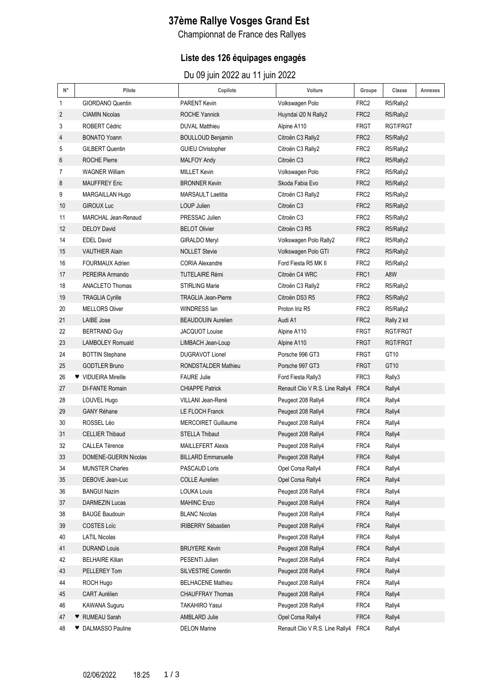# **37ème Rallye Vosges Grand Est**

Championnat de France des Rallyes

### **Liste des 126 équipages engagés**

Du 09 juin 2022 au 11 juin 2022

| N° | Pilote                  | Copilote                   | Voiture                              | Groupe           | Classe      | Annexes |
|----|-------------------------|----------------------------|--------------------------------------|------------------|-------------|---------|
| 1  | <b>GIORDANO Quentin</b> | <b>PARENT Kevin</b>        | Volkswagen Polo                      | FRC <sub>2</sub> | R5/Rally2   |         |
| 2  | <b>CIAMIN Nicolas</b>   | <b>ROCHE Yannick</b>       | Huyndai i20 N Rally2                 | FRC <sub>2</sub> | R5/Rally2   |         |
| 3  | <b>ROBERT Cédric</b>    | <b>DUVAL Matthieu</b>      | Alpine A110                          | <b>FRGT</b>      | RGT/FRGT    |         |
| 4  | <b>BONATO Yoann</b>     | <b>BOULLOUD Benjamin</b>   | Citroën C3 Rally2                    | FRC <sub>2</sub> | R5/Rally2   |         |
| 5  | <b>GILBERT Quentin</b>  | <b>GUIEU Christopher</b>   | Citroën C3 Rally2                    | FRC <sub>2</sub> | R5/Rally2   |         |
| 6  | <b>ROCHE Pierre</b>     | <b>MALFOY Andy</b>         | Citroën C <sub>3</sub>               | FRC <sub>2</sub> | R5/Rally2   |         |
| 7  | <b>WAGNER William</b>   | <b>MILLET Kevin</b>        | Volkswagen Polo                      | FRC <sub>2</sub> | R5/Rally2   |         |
| 8  | <b>MAUFFREY Eric</b>    | <b>BRONNER Kevin</b>       | Skoda Fabia Evo                      | FRC <sub>2</sub> | R5/Rally2   |         |
| 9  | MARGAILLAN Hugo         | <b>MARSAULT Laetitia</b>   | Citroën C3 Rally2                    | FRC <sub>2</sub> | R5/Rally2   |         |
| 10 | <b>GIROUX Luc</b>       | LOUP Julien                | Citroën C <sub>3</sub>               | FRC <sub>2</sub> | R5/Rally2   |         |
| 11 | MARCHAL Jean-Renaud     | PRESSAC Julien             | Citroën C <sub>3</sub>               | FRC <sub>2</sub> | R5/Rally2   |         |
| 12 | <b>DELOY David</b>      | <b>BELOT Olivier</b>       | Citroën C3 R5                        | FRC <sub>2</sub> | R5/Rally2   |         |
| 14 | <b>EDEL David</b>       | <b>GIRALDO Meryl</b>       | Volkswagen Polo Rally2               | FRC <sub>2</sub> | R5/Rally2   |         |
| 15 | <b>VAUTHIER Alain</b>   | <b>NOLLET Stevie</b>       | Volkswagen Polo GTI                  | FRC <sub>2</sub> | R5/Rally2   |         |
| 16 | <b>FOURMAUX Adrien</b>  | <b>CORIA Alexandre</b>     | Ford Fiesta R5 MK II                 | FRC <sub>2</sub> | R5/Rally2   |         |
| 17 | PEREIRA Armando         | <b>TUTELAIRE Rémi</b>      | Citroën C4 WRC                       | FRC1             | A8W         |         |
| 18 | <b>ANACLETO Thomas</b>  | <b>STIRLING Marie</b>      | Citroën C3 Rally2                    | FRC <sub>2</sub> | R5/Rally2   |         |
| 19 | <b>TRAGLIA Cyrille</b>  | <b>TRAGLIA Jean-Pierre</b> | Citroën DS3 R5                       | FRC <sub>2</sub> | R5/Rally2   |         |
| 20 | <b>MELLORS Oliver</b>   | WINDRESS lan               | Proton Iriz R5                       | FRC <sub>2</sub> | R5/Rally2   |         |
| 21 | <b>LAIBE Jose</b>       | <b>BEAUDOUIN Aurelien</b>  | Audi A1                              | FRC <sub>2</sub> | Rally 2 kit |         |
| 22 | <b>BERTRAND Guy</b>     | <b>JACQUOT Louise</b>      | Alpine A110                          | FRGT             | RGT/FRGT    |         |
| 23 | <b>LAMBOLEY Romuald</b> | LIMBACH Jean-Loup          | Alpine A110                          | <b>FRGT</b>      | RGT/FRGT    |         |
| 24 | <b>BOTTIN Stephane</b>  | <b>DUGRAVOT Lionel</b>     | Porsche 996 GT3                      | FRGT             | GT10        |         |
| 25 | <b>GODTLER Bruno</b>    | RONDSTALDER Mathieu        | Porsche 997 GT3                      | <b>FRGT</b>      | GT10        |         |
| 26 | ♥ VIDUEIRA Mireille     | <b>FAURE Julie</b>         | Ford Fiesta Rally3                   | FRC3             | Rally3      |         |
| 27 | <b>DI-FANTE Romain</b>  | <b>CHIAPPE Patrick</b>     | Renault Clio V R.S. Line Rally4      | FRC4             | Rally4      |         |
| 28 | LOUVEL Hugo             | VILLANI Jean-René          | Peugeot 208 Rally4                   | FRC4             | Rally4      |         |
| 29 | <b>GANY Réhane</b>      | LE FLOCH Franck            | Peugeot 208 Rally4                   | FRC4             | Rally4      |         |
| 30 | ROSSEL Léo              | <b>MERCOIRET Guillaume</b> | Peugeot 208 Rally4                   | FRC4             | Rally4      |         |
| 31 | <b>CELLIER Thibaud</b>  | <b>STELLA Thibaut</b>      | Peugeot 208 Rally4                   | FRC4             | Rally4      |         |
| 32 | CALLEA Térence          | <b>MAILLEFERT Alexis</b>   | Peugeot 208 Rally4                   | FRC4             | Rally4      |         |
| 33 | DOMENE-GUERIN Nicolas   | <b>BILLARD Emmanuelle</b>  | Peugeot 208 Rally4                   | FRC4             | Rally4      |         |
| 34 | <b>MUNSTER Charles</b>  | PASCAUD Loris              | Opel Corsa Rally4                    | FRC4             | Rally4      |         |
| 35 | DEBOVE Jean-Luc         | <b>COLLE Aurelien</b>      | Opel Corsa Rally4                    | FRC4             | Rally4      |         |
| 36 | <b>BANGUI Nazim</b>     | <b>LOUKA Louis</b>         | Peugeot 208 Rally4                   | FRC4             | Rally4      |         |
| 37 | DARMEZIN Lucas          | <b>MAHINC Enzo</b>         | Peugeot 208 Rally4                   | FRC4             | Rally4      |         |
| 38 | <b>BAUGE Baudouin</b>   | <b>BLANC Nicolas</b>       | Peugeot 208 Rally4                   | FRC4             | Rally4      |         |
| 39 | <b>COSTES Loïc</b>      | <b>IRIBERRY Sébastien</b>  | Peugeot 208 Rally4                   | FRC4             | Rally4      |         |
| 40 | <b>LATIL Nicolas</b>    |                            | Peugeot 208 Rally4                   | FRC4             | Rally4      |         |
| 41 | <b>DURAND Louis</b>     | <b>BRUYERE Kevin</b>       | Peugeot 208 Rally4                   | FRC4             | Rally4      |         |
| 42 | <b>BELHAIRE Kilian</b>  | PESENTI Julien             | Peugeot 208 Rally4                   | FRC4             | Rally4      |         |
| 43 | PELLEREY Tom            | SILVESTRE Corentin         | Peugeot 208 Rally4                   | FRC4             | Rally4      |         |
| 44 | ROCH Hugo               | <b>BELHACENE Mathieu</b>   | Peugeot 208 Rally4                   | FRC4             | Rally4      |         |
| 45 | CART Aurélien           | <b>CHAUFFRAY Thomas</b>    | Peugeot 208 Rally4                   | FRC4             | Rally4      |         |
| 46 | KAWANA Suguru           | <b>TAKAHIRO Yasui</b>      | Peugeot 208 Rally4                   | FRC4             | Rally4      |         |
| 47 | ♥ RUMEAU Sarah          | AMBLARD Julie              | Opel Corsa Rally4                    | FRC4             | Rally4      |         |
| 48 | ♥ DALMASSO Pauline      | <b>DELON Marine</b>        | Renault Clio V R.S. Line Rally4 FRC4 |                  | Rally4      |         |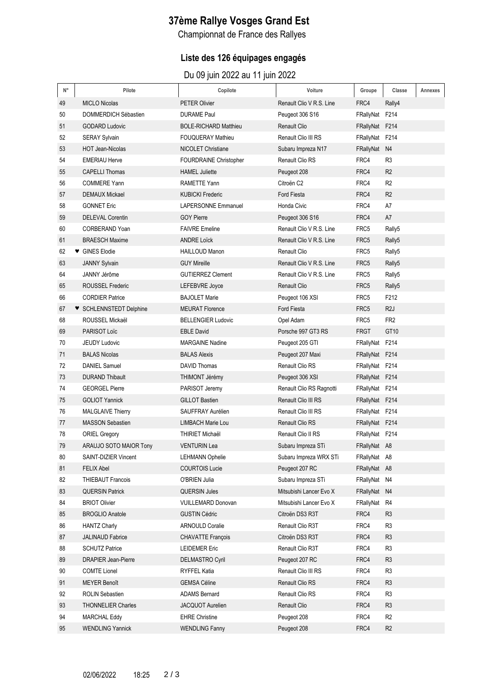# **37ème Rallye Vosges Grand Est**

Championnat de France des Rallyes

### **Liste des 126 équipages engagés**

Du 09 juin 2022 au 11 juin 2022

| $\mathsf{N}^\circ$ | Pilote                     | Copilote                     | Voiture                  | Groupe           | Classe           | Annexes |
|--------------------|----------------------------|------------------------------|--------------------------|------------------|------------------|---------|
| 49                 | <b>MICLO Nicolas</b>       | <b>PETER Olivier</b>         | Renault Clio V R.S. Line | FRC4             | Rally4           |         |
| 50                 | DOMMERDICH Sébastien       | <b>DURAME Paul</b>           | Peugeot 306 S16          | FRallyNat F214   |                  |         |
| 51                 | <b>GODARD Ludovic</b>      | <b>BOLE-RICHARD Matthieu</b> | <b>Renault Clio</b>      | FRallyNat F214   |                  |         |
| 52                 | <b>SERAY Sylvain</b>       | <b>FOUQUERAY Mathieu</b>     | Renault Clio III RS      | FRallyNat F214   |                  |         |
| 53                 | <b>HOT Jean-Nicolas</b>    | <b>NICOLET Christiane</b>    | Subaru Impreza N17       | FRallyNat N4     |                  |         |
| 54                 | <b>EMERIAU Herve</b>       | FOURDRAINE Christopher       | Renault Clio RS          | FRC4             | R <sub>3</sub>   |         |
| 55                 | <b>CAPELLI Thomas</b>      | <b>HAMEL Juliette</b>        | Peugeot 208              | FRC4             | R <sub>2</sub>   |         |
| 56                 | <b>COMMERE Yann</b>        | <b>RAMETTE Yann</b>          | Citroën C <sub>2</sub>   | FRC4             | R <sub>2</sub>   |         |
| 57                 | <b>DEMAUX Mickael</b>      | <b>KUBICKI Frederic</b>      | Ford Fiesta              | FRC4             | R <sub>2</sub>   |         |
| 58                 | <b>GONNET Eric</b>         | <b>LAPERSONNE Emmanuel</b>   | Honda Civic              | FRC4             | A7               |         |
| 59                 | <b>DELEVAL Corentin</b>    | <b>GOY Pierre</b>            | Peugeot 306 S16          | FRC4             | A7               |         |
| 60                 | CORBERAND Yoan             | <b>FAIVRE Emeline</b>        | Renault Clio V R.S. Line | FRC5             | Rally5           |         |
| 61                 | <b>BRAESCH Maxime</b>      | <b>ANDRE Loïck</b>           | Renault Clio V R.S. Line | FRC <sub>5</sub> | Rally5           |         |
| 62                 | ♥ GINES Elodie             | <b>HAILLOUD Manon</b>        | <b>Renault Clio</b>      | FRC5             | Rally5           |         |
| 63                 | <b>JANNY Sylvain</b>       | <b>GUY Mireille</b>          | Renault Clio V R.S. Line | FRC <sub>5</sub> | Rally5           |         |
| 64                 | JANNY Jérôme               | <b>GUTIERREZ Clement</b>     | Renault Clio V R.S. Line | FRC5             | Rally5           |         |
| 65                 | ROUSSEL Frederic           | LEFEBVRE Joyce               | Renault Clio             | FRC5             | Rally5           |         |
| 66                 | <b>CORDIER Patrice</b>     | <b>BAJOLET Marie</b>         | Peugeot 106 XSI          | FRC5             | F212             |         |
| 67                 | ♥ SCHLENNSTEDT Delphine    | <b>MEURAT Florence</b>       | Ford Fiesta              | FRC <sub>5</sub> | R <sub>2</sub> J |         |
| 68                 | ROUSSEL Mickaël            | <b>BELLENGIER Ludovic</b>    | Opel Adam                | FRC5             | FR <sub>2</sub>  |         |
| 69                 | PARISOT Loïc               | <b>EBLE David</b>            | Porsche 997 GT3 RS       | <b>FRGT</b>      | GT10             |         |
| 70                 | <b>JEUDY Ludovic</b>       | <b>MARGAINE Nadine</b>       | Peugeot 205 GTI          | FRallyNat F214   |                  |         |
| 71                 | <b>BALAS Nicolas</b>       | <b>BALAS Alexis</b>          | Peugeot 207 Maxi         | FRallyNat F214   |                  |         |
| 72                 | <b>DANIEL Samuel</b>       | DAVID Thomas                 | Renault Clio RS          | FRallyNat F214   |                  |         |
| 73                 | <b>DURAND Thibault</b>     | THIMONT Jérémy               | Peugeot 306 XSI          | FRallyNat F214   |                  |         |
| 74                 | <b>GEORGEL Pierre</b>      | PARISOT Jeremy               | Renault Clio RS Ragnotti | FRallyNat F214   |                  |         |
| 75                 | <b>GOLIOT Yannick</b>      | <b>GILLOT Bastien</b>        | Renault Clio III RS      | FRallyNat F214   |                  |         |
| 76                 | MALGLAIVE Thierry          | SAUFFRAY Aurélien            | Renault Clio III RS      | FRallyNat F214   |                  |         |
| 77                 | <b>MASSON Sebastien</b>    | <b>LIMBACH Marie Lou</b>     | <b>Renault Clio RS</b>   | FRallyNat F214   |                  |         |
| 78                 | <b>ORIEL Gregory</b>       | THIRIET Michaël              | Renault Clio II RS       | FRallyNat F214   |                  |         |
| 79                 | ARAUJO SOTO MAIOR Tony     | <b>VENTURIN Lea</b>          | Subaru Impreza STi       | FRallyNat A8     |                  |         |
| 80                 | SAINT-DIZIER Vincent       | <b>LEHMANN Ophelie</b>       | Subaru Impreza WRX STi   | FRallyNat A8     |                  |         |
| 81                 | <b>FELIX Abel</b>          | <b>COURTOIS Lucie</b>        | Peugeot 207 RC           | FRallyNat A8     |                  |         |
| 82                 | <b>THIEBAUT Francois</b>   | O'BRIEN Julia                | Subaru Impreza STi       | FRallyNat N4     |                  |         |
| 83                 | <b>QUERSIN Patrick</b>     | <b>QUERSIN Jules</b>         | Mitsubishi Lancer Evo X  | FRallyNat N4     |                  |         |
| 84                 | <b>BRIOT Olivier</b>       | VUILLEMARD Donovan           | Mitsubishi Lancer Evo X  | FRallyNat R4     |                  |         |
| 85                 | <b>BROGLIO Anatole</b>     | <b>GUSTIN Cédric</b>         | Citroën DS3 R3T          | FRC4             | R <sub>3</sub>   |         |
| 86                 | <b>HANTZ Charly</b>        | <b>ARNOULD Coralie</b>       | Renault Clio R3T         | FRC4             | R <sub>3</sub>   |         |
| 87                 | <b>JALINAUD Fabrice</b>    | CHAVATTE François            | Citroën DS3 R3T          | FRC4             | R <sub>3</sub>   |         |
| 88                 | <b>SCHUTZ Patrice</b>      | <b>LEIDEMER Eric</b>         | Renault Clio R3T         | FRC4             | R <sub>3</sub>   |         |
| 89                 | <b>DRAPIER Jean-Pierre</b> | <b>DELMASTRO Cyril</b>       | Peugeot 207 RC           | FRC4             | R <sub>3</sub>   |         |
| 90                 | <b>COMTE Lionel</b>        | <b>RYFFEL Katia</b>          | Renault Clio III RS      | FRC4             | R <sub>3</sub>   |         |
| 91                 | <b>MEYER Benoît</b>        | <b>GEMSA Céline</b>          | Renault Clio RS          | FRC4             | R <sub>3</sub>   |         |
| 92                 | <b>ROLIN Sebastien</b>     | <b>ADAMS Bernard</b>         | Renault Clio RS          | FRC4             | R <sub>3</sub>   |         |
| 93                 | <b>THONNELIER Charles</b>  | JACQUOT Aurelien             | Renault Clio             | FRC4             | R <sub>3</sub>   |         |
| 94                 | <b>MARCHAL Eddy</b>        | <b>EHRE Christine</b>        | Peugeot 208              | FRC4             | R <sub>2</sub>   |         |
| 95                 | <b>WENDLING Yannick</b>    | <b>WENDLING Fanny</b>        | Peugeot 208              | FRC4             | R <sub>2</sub>   |         |